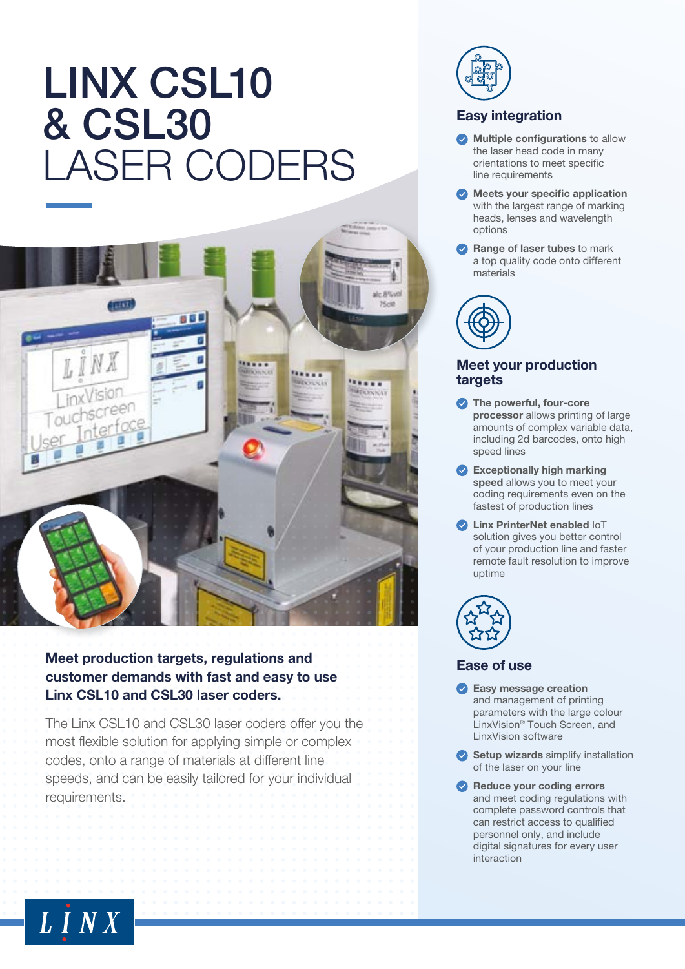# LINX CSL10 & CSL30 LASER CODERS



# Meet production targets, regulations and customer demands with fast and easy to use Linx CSL10 and CSL30 laser coders.

The Linx CSL10 and CSL30 laser coders offer you the most flexible solution for applying simple or complex codes, onto a range of materials at different line speeds, and can be easily tailored for your individual requirements.



# Easy integration

- **Multiple configurations** to allow the laser head code in many orientations to meet specific line requirements
- **Meets your specific application** with the largest range of marking heads, lenses and wavelength options
- **Range of laser tubes to mark** a top quality code onto different materials



## Meet your production targets

- The powerful, four-core processor allows printing of large amounts of complex variable data, including 2d barcodes, onto high speed lines
- Exceptionally high marking speed allows you to meet your coding requirements even on the fastest of production lines
- **C** Linx PrinterNet enabled IoT solution gives you better control of your production line and faster remote fault resolution to improve uptime



## Ease of use

- **Easy message creation** and management of printing parameters with the large colour LinxVision® Touch Screen, and LinxVision software
- Setup wizards simplify installation of the laser on your line
- Reduce your coding errors and meet coding regulations with complete password controls that can restrict access to qualified personnel only, and include digital signatures for every user interaction